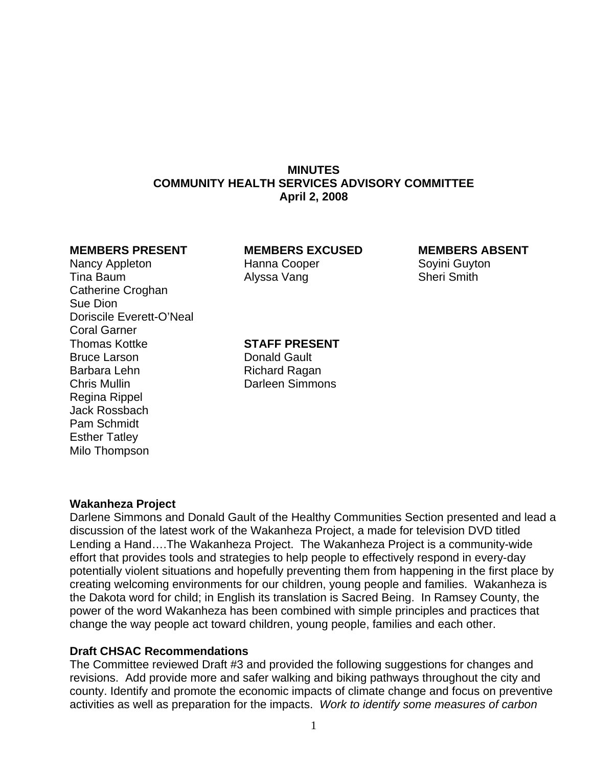# **MINUTES COMMUNITY HEALTH SERVICES ADVISORY COMMITTEE April 2, 2008**

Nancy Appleton **Hanna Cooper** Soyini Guyton Tina Baum **Alyssa Vang** Sheri Smith Catherine Croghan Sue Dion Doriscile Everett-O'Neal Coral Garner Thomas Kottke **STAFF PRESENT** Bruce Larson **Donald Gault** Barbara Lehn Richard Ragan Chris Mullin Darleen Simmons Regina Rippel Jack Rossbach Pam Schmidt Esther Tatley Milo Thompson

### **MEMBERS PRESENT MEMBERS EXCUSED MEMBERS ABSENT**

#### **Wakanheza Project**

Darlene Simmons and Donald Gault of the Healthy Communities Section presented and lead a discussion of the latest work of the Wakanheza Project, a made for television DVD titled Lending a Hand….The Wakanheza Project. The Wakanheza Project is a community-wide effort that provides tools and strategies to help people to effectively respond in every-day potentially violent situations and hopefully preventing them from happening in the first place by creating welcoming environments for our children, young people and families. Wakanheza is the Dakota word for child; in English its translation is Sacred Being. In Ramsey County, the power of the word Wakanheza has been combined with simple principles and practices that change the way people act toward children, young people, families and each other.

#### **Draft CHSAC Recommendations**

The Committee reviewed Draft #3 and provided the following suggestions for changes and revisions. Add provide more and safer walking and biking pathways throughout the city and county. Identify and promote the economic impacts of climate change and focus on preventive activities as well as preparation for the impacts. *Work to identify some measures of carbon*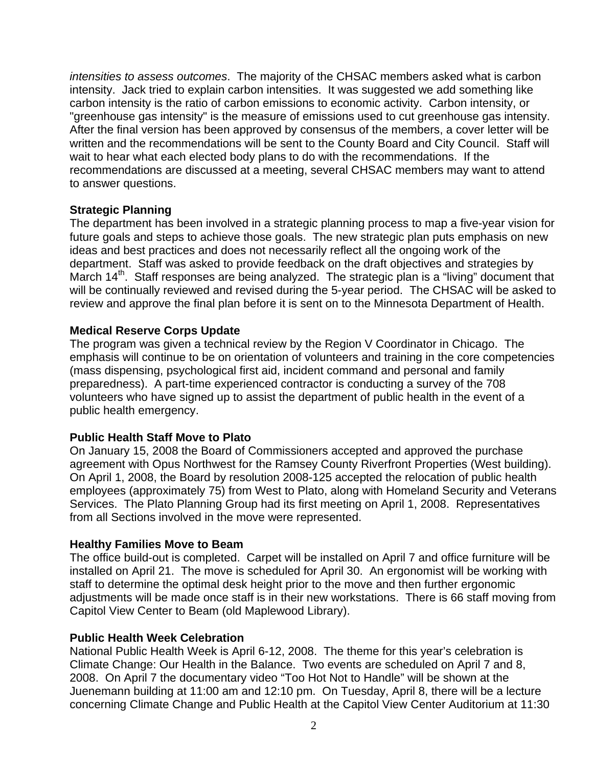*intensities to assess outcomes*. The majority of the CHSAC members asked what is carbon intensity. Jack tried to explain carbon intensities. It was suggested we add something like carbon intensity is the ratio of carbon emissions to economic activity. Carbon intensity, or "greenhouse gas intensity" is the measure of emissions used to cut greenhouse gas intensity. After the final version has been approved by consensus of the members, a cover letter will be written and the recommendations will be sent to the County Board and City Council. Staff will wait to hear what each elected body plans to do with the recommendations. If the recommendations are discussed at a meeting, several CHSAC members may want to attend to answer questions.

# **Strategic Planning**

The department has been involved in a strategic planning process to map a five-year vision for future goals and steps to achieve those goals. The new strategic plan puts emphasis on new ideas and best practices and does not necessarily reflect all the ongoing work of the department. Staff was asked to provide feedback on the draft objectives and strategies by March 14<sup>th</sup>. Staff responses are being analyzed. The strategic plan is a "living" document that will be continually reviewed and revised during the 5-year period. The CHSAC will be asked to review and approve the final plan before it is sent on to the Minnesota Department of Health.

# **Medical Reserve Corps Update**

The program was given a technical review by the Region V Coordinator in Chicago. The emphasis will continue to be on orientation of volunteers and training in the core competencies (mass dispensing, psychological first aid, incident command and personal and family preparedness). A part-time experienced contractor is conducting a survey of the 708 volunteers who have signed up to assist the department of public health in the event of a public health emergency.

# **Public Health Staff Move to Plato**

On January 15, 2008 the Board of Commissioners accepted and approved the purchase agreement with Opus Northwest for the Ramsey County Riverfront Properties (West building). On April 1, 2008, the Board by resolution 2008-125 accepted the relocation of public health employees (approximately 75) from West to Plato, along with Homeland Security and Veterans Services. The Plato Planning Group had its first meeting on April 1, 2008. Representatives from all Sections involved in the move were represented.

# **Healthy Families Move to Beam**

The office build-out is completed. Carpet will be installed on April 7 and office furniture will be installed on April 21. The move is scheduled for April 30. An ergonomist will be working with staff to determine the optimal desk height prior to the move and then further ergonomic adjustments will be made once staff is in their new workstations. There is 66 staff moving from Capitol View Center to Beam (old Maplewood Library).

#### **Public Health Week Celebration**

National Public Health Week is April 6-12, 2008. The theme for this year's celebration is Climate Change: Our Health in the Balance. Two events are scheduled on April 7 and 8, 2008. On April 7 the documentary video "Too Hot Not to Handle" will be shown at the Juenemann building at 11:00 am and 12:10 pm. On Tuesday, April 8, there will be a lecture concerning Climate Change and Public Health at the Capitol View Center Auditorium at 11:30